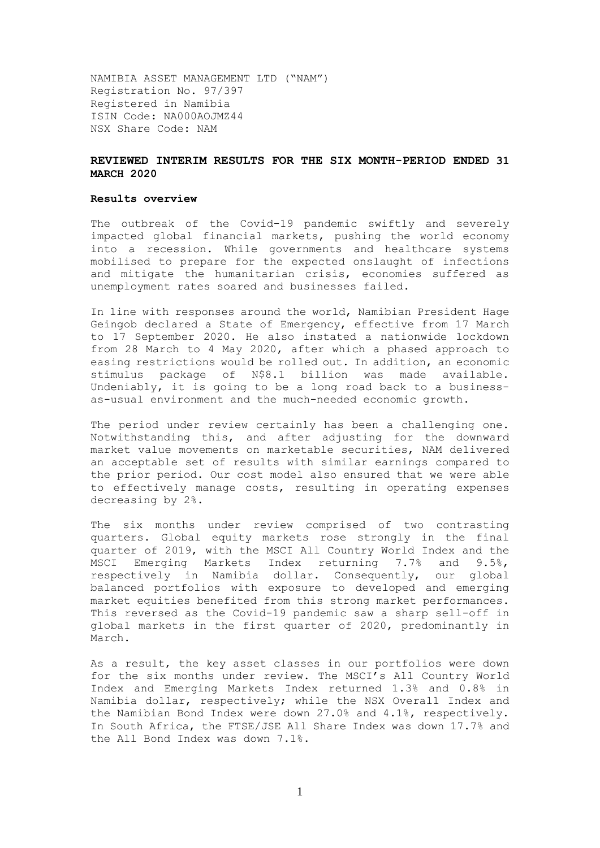NAMIBIA ASSET MANAGEMENT LTD ("NAM") Registration No. 97/397 Registered in Namibia ISIN Code: NA000AOJMZ44 NSX Share Code: NAM

## **REVIEWED INTERIM RESULTS FOR THE SIX MONTH-PERIOD ENDED 31 MARCH 2020**

#### **Results overview**

The outbreak of the Covid-19 pandemic swiftly and severely impacted global financial markets, pushing the world economy into a recession. While governments and healthcare systems mobilised to prepare for the expected onslaught of infections and mitigate the humanitarian crisis, economies suffered as unemployment rates soared and businesses failed.

In line with responses around the world, Namibian President Hage Geingob declared a State of Emergency, effective from 17 March to 17 September 2020. He also instated a nationwide lockdown from 28 March to 4 May 2020, after which a phased approach to easing restrictions would be rolled out. In addition, an economic stimulus package of N\$8.1 billion was made available. Undeniably, it is going to be a long road back to a businessas-usual environment and the much-needed economic growth.

The period under review certainly has been a challenging one. Notwithstanding this, and after adjusting for the downward market value movements on marketable securities, NAM delivered an acceptable set of results with similar earnings compared to the prior period. Our cost model also ensured that we were able to effectively manage costs, resulting in operating expenses decreasing by 2%.

The six months under review comprised of two contrasting quarters. Global equity markets rose strongly in the final quarter of 2019, with the MSCI All Country World Index and the MSCI Emerging Markets Index returning 7.7% and 9.5%, respectively in Namibia dollar. Consequently, our global balanced portfolios with exposure to developed and emerging market equities benefited from this strong market performances. This reversed as the Covid-19 pandemic saw a sharp sell-off in global markets in the first quarter of 2020, predominantly in March.

As a result, the key asset classes in our portfolios were down for the six months under review. The MSCI's All Country World Index and Emerging Markets Index returned 1.3% and 0.8% in Namibia dollar, respectively; while the NSX Overall Index and the Namibian Bond Index were down 27.0% and 4.1%, respectively. In South Africa, the FTSE/JSE All Share Index was down 17.7% and the All Bond Index was down 7.1%.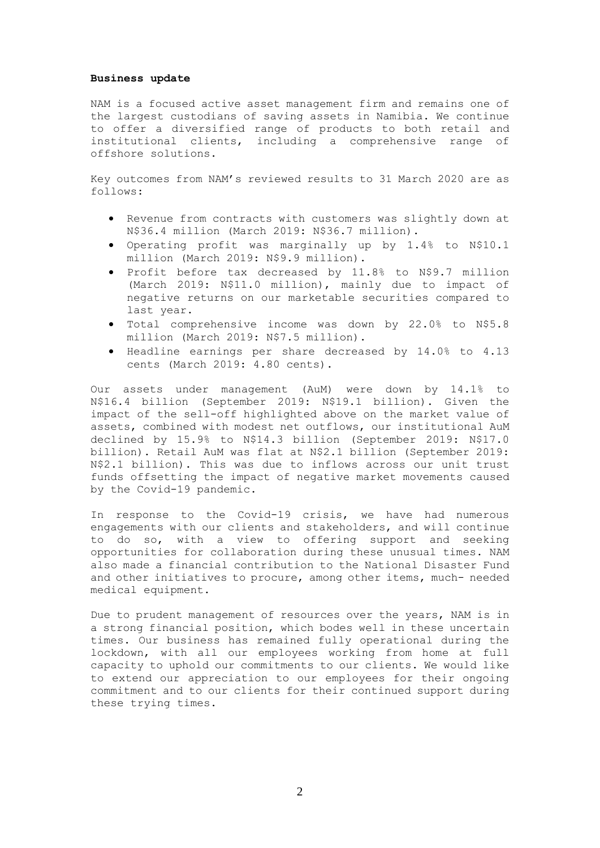#### **Business update**

NAM is a focused active asset management firm and remains one of the largest custodians of saving assets in Namibia. We continue to offer a diversified range of products to both retail and institutional clients, including a comprehensive range of offshore solutions.

Key outcomes from NAM's reviewed results to 31 March 2020 are as follows:

- Revenue from contracts with customers was slightly down at N\$36.4 million (March 2019: N\$36.7 million).
- Operating profit was marginally up by 1.4% to N\$10.1 million (March 2019: N\$9.9 million).
- Profit before tax decreased by 11.8% to N\$9.7 million (March 2019: N\$11.0 million), mainly due to impact of negative returns on our marketable securities compared to last year.
- Total comprehensive income was down by 22.0% to N\$5.8 million (March 2019: N\$7.5 million).
- Headline earnings per share decreased by 14.0% to 4.13 cents (March 2019: 4.80 cents).

Our assets under management (AuM) were down by 14.1% to N\$16.4 billion (September 2019: N\$19.1 billion). Given the impact of the sell-off highlighted above on the market value of assets, combined with modest net outflows, our institutional AuM declined by 15.9% to N\$14.3 billion (September 2019: N\$17.0 billion). Retail AuM was flat at N\$2.1 billion (September 2019: N\$2.1 billion). This was due to inflows across our unit trust funds offsetting the impact of negative market movements caused by the Covid-19 pandemic.

In response to the Covid-19 crisis, we have had numerous engagements with our clients and stakeholders, and will continue to do so, with a view to offering support and seeking opportunities for collaboration during these unusual times. NAM also made a financial contribution to the National Disaster Fund and other initiatives to procure, among other items, much- needed medical equipment.

Due to prudent management of resources over the years, NAM is in a strong financial position, which bodes well in these uncertain times. Our business has remained fully operational during the lockdown, with all our employees working from home at full capacity to uphold our commitments to our clients. We would like to extend our appreciation to our employees for their ongoing commitment and to our clients for their continued support during these trying times.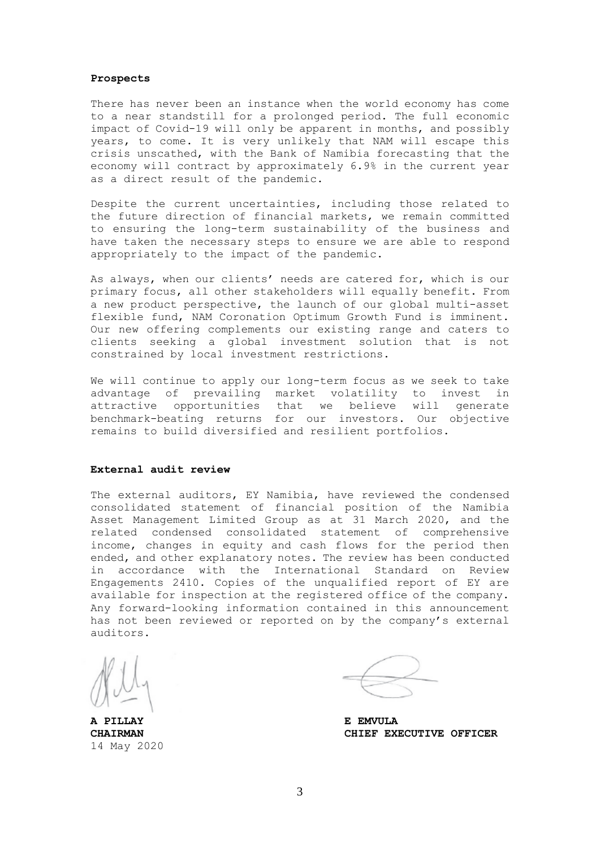#### **Prospects**

There has never been an instance when the world economy has come to a near standstill for a prolonged period. The full economic impact of Covid-19 will only be apparent in months, and possibly years, to come. It is very unlikely that NAM will escape this crisis unscathed, with the Bank of Namibia forecasting that the economy will contract by approximately 6.9% in the current year as a direct result of the pandemic.

Despite the current uncertainties, including those related to the future direction of financial markets, we remain committed to ensuring the long-term sustainability of the business and have taken the necessary steps to ensure we are able to respond appropriately to the impact of the pandemic.

As always, when our clients' needs are catered for, which is our primary focus, all other stakeholders will equally benefit. From a new product perspective, the launch of our global multi-asset flexible fund, NAM Coronation Optimum Growth Fund is imminent. Our new offering complements our existing range and caters to clients seeking a global investment solution that is not constrained by local investment restrictions.

We will continue to apply our long-term focus as we seek to take advantage of prevailing market volatility to invest in attractive opportunities that we believe will generate benchmark-beating returns for our investors. Our objective remains to build diversified and resilient portfolios.

## **External audit review**

The external auditors, EY Namibia, have reviewed the condensed consolidated statement of financial position of the Namibia Asset Management Limited Group as at 31 March 2020, and the related condensed consolidated statement of comprehensive income, changes in equity and cash flows for the period then ended, and other explanatory notes. The review has been conducted in accordance with the International Standard on Review Engagements 2410. Copies of the unqualified report of EY are available for inspection at the registered office of the company. Any forward-looking information contained in this announcement has not been reviewed or reported on by the company's external auditors.

14 May 2020

**A PILLAY E EMVULA CHAIRMAN CHIEF EXECUTIVE OFFICER**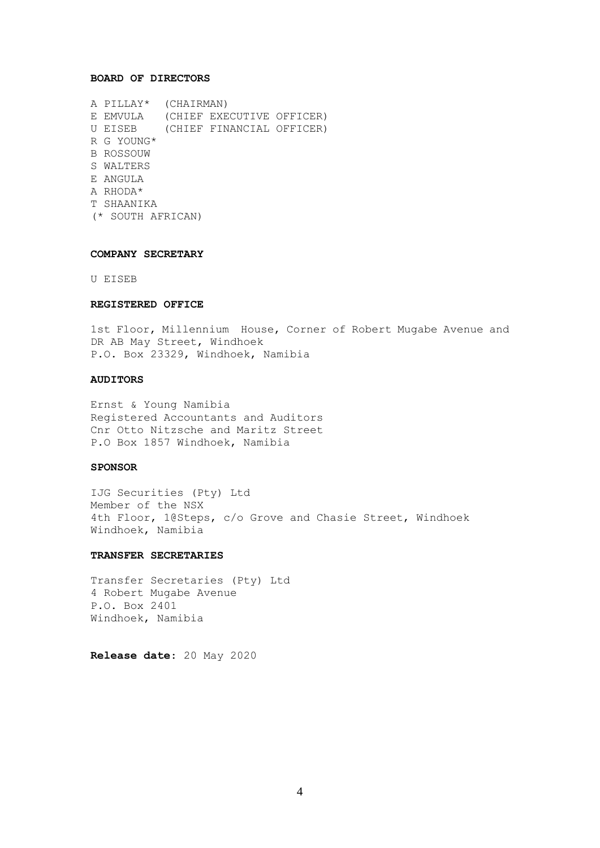### **BOARD OF DIRECTORS**

A PILLAY\* (CHAIRMAN) E EMVULA (CHIEF EXECUTIVE OFFICER) U EISEB (CHIEF FINANCIAL OFFICER) R G YOUNG\* B ROSSOUW S WALTERS E ANGULA A RHODA\* T SHAANIKA (\* SOUTH AFRICAN)

### **COMPANY SECRETARY**

U EISEB

### **REGISTERED OFFICE**

1st Floor, Millennium House, Corner of Robert Mugabe Avenue and DR AB May Street, Windhoek P.O. Box 23329, Windhoek, Namibia

## **AUDITORS**

Ernst & Young Namibia Registered Accountants and Auditors Cnr Otto Nitzsche and Maritz Street P.O Box 1857 Windhoek, Namibia

## **SPONSOR**

IJG Securities (Pty) Ltd Member of the NSX 4th Floor, 1@Steps, c/o Grove and Chasie Street, Windhoek Windhoek, Namibia

### **TRANSFER SECRETARIES**

Transfer Secretaries (Pty) Ltd 4 Robert Mugabe Avenue P.O. Box 2401 Windhoek, Namibia

**Release date**: 20 May 2020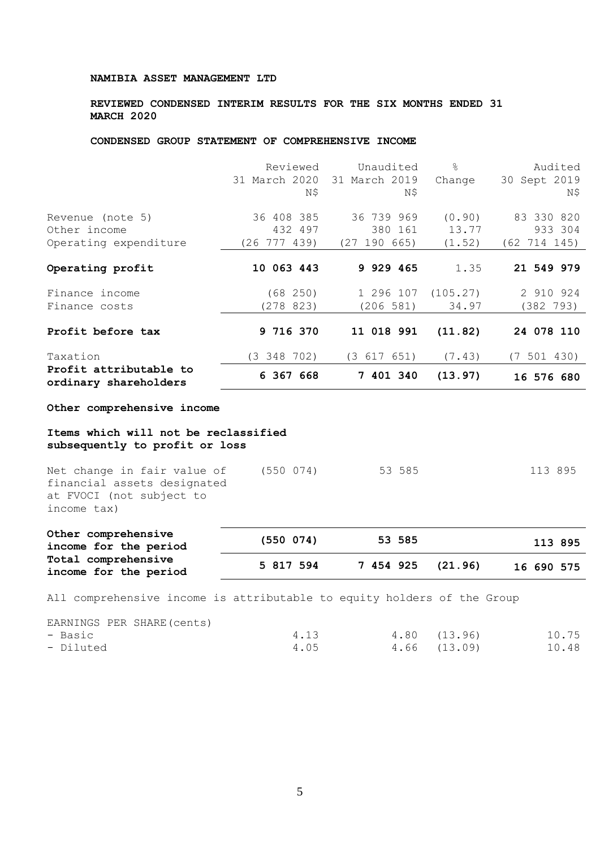## **REVIEWED CONDENSED INTERIM RESULTS FOR THE SIX MONTHS ENDED 31 MARCH 2020**

# **CONDENSED GROUP STATEMENT OF COMPREHENSIVE INCOME**

|                                                           | Reviewed<br>31 March 2020<br>N\$          | Unaudited<br>31 March 2019<br>Ν\$        | $\frac{6}{5}$<br>Change   | Audited<br>30 Sept 2019<br>Ν\$        |
|-----------------------------------------------------------|-------------------------------------------|------------------------------------------|---------------------------|---------------------------------------|
| Revenue (note 5)<br>Other income<br>Operating expenditure | 36 408 385<br>432 497<br>$(26\ 777\ 439)$ | 36 739 969<br>380 161<br>190 665)<br>(27 | (0.90)<br>13.77<br>(1.52) | 83 330 820<br>933 304<br>(62 714 145) |
| Operating profit                                          | 10 063 443                                | 9 929 465                                | 1.35                      | 21 549 979                            |
| Finance income<br>Finance costs                           | (68 250)<br>(278823)                      | 1 296 107<br>(206 581)                   | (105.27)<br>34.97         | 2 910 924<br>(382 793)                |
| Profit before tax                                         | 9 716 370                                 | 11 018 991                               | (11.82)                   | 24 078 110                            |
| Taxation                                                  | (3 348 702)                               | (3 617 651)                              | (7.43)                    | (7 501 430)                           |
| Profit attributable to<br>ordinary shareholders           | 6 367 668                                 | 7 401 340                                | (13.97)                   | 16 576 680                            |

**Other comprehensive income**

## **Items which will not be reclassified subsequently to profit or loss**

| Other comprehensive<br>income for the period                                                          | (550 074)     | 53 585 | 113 895 |
|-------------------------------------------------------------------------------------------------------|---------------|--------|---------|
| Net change in fair value of<br>financial assets designated<br>at FVOCI (not subject to<br>income tax) | $(550 \t074)$ | 53 585 | 113 895 |

| income for the period                        |           |                   | ر تون کله  |
|----------------------------------------------|-----------|-------------------|------------|
| Total comprehensive<br>income for the period | 5 817 594 | 7 454 925 (21.96) | 16 690 575 |

All comprehensive income is attributable to equity holders of the Group

EARNINGS PER SHARE(cents)

| - Basic   | 4.13 | 4.80 (13.96) | 10.75 |
|-----------|------|--------------|-------|
| - Diluted | 4.05 | 4.66 (13.09) | 10.48 |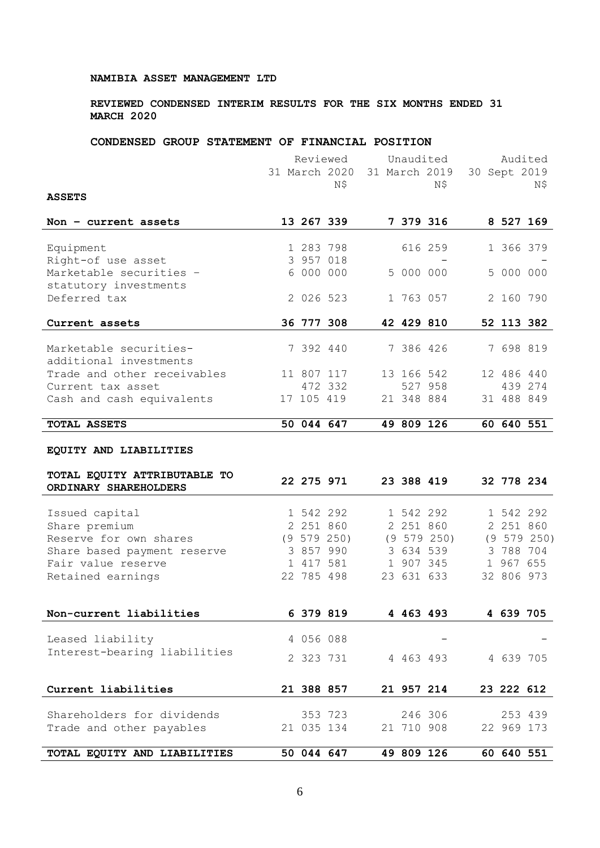## **REVIEWED CONDENSED INTERIM RESULTS FOR THE SIX MONTHS ENDED 31 MARCH 2020**

## **CONDENSED GROUP STATEMENT OF FINANCIAL POSITION**

|                                                  |           | Reviewed      |            | Unaudited       |              |            | Audited     |
|--------------------------------------------------|-----------|---------------|------------|-----------------|--------------|------------|-------------|
|                                                  |           | 31 March 2020 |            | 31 March 2019   | 30 Sept 2019 |            |             |
|                                                  |           | Ν\$           |            | Ν\$             |              |            | Ν\$         |
| <b>ASSETS</b>                                    |           |               |            |                 |              |            |             |
| Non $-$ current assets                           |           | 13 267 339    |            | 7 379 316       |              |            | 8 527 169   |
| Equipment                                        |           | 1 283 798     |            | 616 259         |              | 1 366 379  |             |
| Right-of use asset                               |           | 3 957 018     |            |                 |              |            |             |
| Marketable securities -<br>statutory investments |           | 6 000 000     | 5 000 000  |                 |              | 5 000 000  |             |
| Deferred tax                                     |           | 2 026 523     | 1 763 057  |                 |              | 2 160 790  |             |
| Current assets                                   |           | 36 777 308    | 42 429 810 |                 |              |            | 52 113 382  |
| Marketable securities-                           | 7 392 440 |               | 7 386 426  |                 |              | 7 698 819  |             |
| additional investments                           |           |               |            |                 |              |            |             |
| Trade and other receivables                      |           | 11 807 117    | 13 166 542 |                 |              | 12 486 440 |             |
| Current tax asset                                |           | 472 332       |            | 527 958         |              |            | 439 274     |
| Cash and cash equivalents                        |           | 17 105 419    | 21 348 884 |                 |              | 31 488 849 |             |
| TOTAL ASSETS                                     |           | 50 044 647    | 49 809 126 |                 |              |            | 60 640 551  |
| EQUITY AND LIABILITIES                           |           |               |            |                 |              |            |             |
| TOTAL EQUITY ATTRIBUTABLE TO                     |           |               |            |                 |              |            |             |
| ORDINARY SHAREHOLDERS                            |           | 22 275 971    | 23 388 419 |                 |              | 32 778 234 |             |
| Issued capital                                   |           | 1 542 292     |            | 1 542 292       |              |            | 1 542 292   |
| Share premium                                    |           | 2 251 860     |            | 2 251 860       |              | 2 251 860  |             |
| Reserve for own shares                           |           | (9 579 250)   |            | $(9\ 579\ 250)$ |              |            | (9 579 250) |
| Share based payment reserve                      |           | 3 857 990     |            | 3 634 539       |              |            | 3 788 704   |
| Fair value reserve                               |           | 1 417 581     |            | 1 907 345       |              | 1 967 655  |             |
| Retained earnings                                |           | 22 785 498    | 23 631 633 |                 |              | 32 806 973 |             |
|                                                  |           |               |            |                 |              |            |             |
| Non-current liabilities                          | 6 379 819 |               | 4 463 493  |                 |              | 4 639 705  |             |
| Leased liability                                 | 4 056 088 |               |            |                 |              |            |             |
| Interest-bearing liabilities                     | 2 323 731 |               | 4 463 493  |                 |              | 4 639 705  |             |
|                                                  |           |               |            |                 |              | 23 222 612 |             |
| Current liabilities                              |           | 21 388 857    | 21 957 214 |                 |              |            |             |
| Shareholders for dividends                       |           | 353 723       |            | 246 306         |              |            | 253 439     |
| Trade and other payables                         |           | 21 035 134    | 21 710 908 |                 |              | 22 969 173 |             |
| TOTAL EQUITY AND LIABILITIES                     |           | 50 044 647    | 49 809 126 |                 |              |            | 60 640 551  |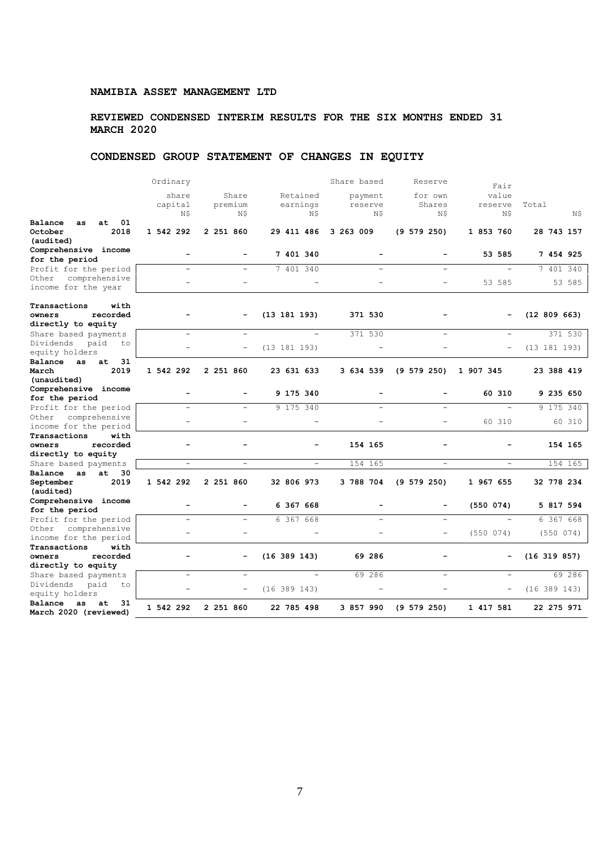## **REVIEWED CONDENSED INTERIM RESULTS FOR THE SIX MONTHS ENDED 31 MARCH 2020**

# **CONDENSED GROUP STATEMENT OF CHANGES IN EQUITY**

|                           | Ordinary                     |                          |                          | Share based              | Reserve                  | Fair                     |                  |
|---------------------------|------------------------------|--------------------------|--------------------------|--------------------------|--------------------------|--------------------------|------------------|
|                           | share                        | Share                    | Retained                 | payment                  | for own                  | value                    |                  |
|                           | capital                      | premium                  | earnings                 | reserve                  | Shares                   | reserve                  | Total            |
|                           | N\$                          | N\$                      | N\$                      | Ν\$                      | N\$                      | N\$                      | N\$              |
| $_{01}$                   |                              |                          |                          |                          |                          |                          |                  |
| Balance<br>at.<br>as.     |                              |                          |                          |                          |                          |                          |                  |
| 2018<br>October           | 1 542 292                    | 2 251 860                | 29 411 486               | 3 263 009                | (9 579 250)              | 1 853 760                | 28 743 157       |
| (audited)                 |                              |                          |                          |                          |                          |                          |                  |
| Comprehensive income      |                              |                          | 7 401 340                |                          |                          | 53 585                   | 7 454 925        |
| for the period            |                              |                          |                          |                          |                          |                          |                  |
| Profit for the period     |                              |                          | 7 401 340                |                          |                          |                          | 7 401 340        |
| comprehensive<br>Other    |                              |                          |                          |                          |                          |                          |                  |
| income for the year       |                              |                          |                          |                          |                          | 53 585                   | 53 585           |
|                           |                              |                          |                          |                          |                          |                          |                  |
| with<br>Transactions      |                              |                          |                          |                          |                          |                          |                  |
|                           |                              |                          |                          |                          |                          |                          |                  |
| recorded<br>owners        |                              |                          | (13 181 193)             | 371 530                  |                          |                          | (12 809 663)     |
| directly to equity        |                              |                          |                          |                          |                          |                          |                  |
| Share based payments      |                              |                          | $\overline{\phantom{0}}$ | 371 530                  |                          |                          | 371 530          |
| Dividends<br>paid<br>to   |                              |                          | (13 181 193)             |                          |                          |                          | (13 181 193)     |
| equity holders            |                              |                          |                          |                          |                          |                          |                  |
| Balance as<br>31<br>at    |                              |                          |                          |                          |                          |                          |                  |
| 2019<br>March             | 1 542 292                    | 2 251 860                | 23 631 633               | 3 634 539                | (9 579 250)              | 1 907 345                | 23 388 419       |
| (unaudited)               |                              |                          |                          |                          |                          |                          |                  |
| Comprehensive income      |                              |                          |                          |                          |                          |                          |                  |
| for the period            | $\qquad \qquad \blacksquare$ | $\overline{\phantom{0}}$ | 9 175 340                | $\overline{\phantom{0}}$ | $\overline{\phantom{0}}$ | 60 310                   | 9 235 650        |
| Profit for the period     |                              |                          | 9 175 340                |                          |                          |                          | 9 175 340        |
| comprehensive<br>Other    |                              |                          |                          |                          |                          |                          |                  |
|                           | $\equiv$                     | $\equiv$                 | ÷                        |                          | ÷,                       | 60 310                   | 60 310           |
| income for the period     |                              |                          |                          |                          |                          |                          |                  |
| Transactions<br>with      |                              |                          |                          |                          |                          |                          |                  |
| recorded<br>owners        |                              |                          |                          | 154 165                  | $\overline{\phantom{0}}$ |                          | 154 165          |
| directly to equity        |                              |                          |                          |                          |                          |                          |                  |
| Share based payments      | $\overline{\phantom{a}}$     | $\overline{\phantom{a}}$ | $\overline{\phantom{a}}$ | 154 165                  | $\overline{\phantom{a}}$ | $\overline{\phantom{0}}$ | 154 165          |
| Balance as<br>$at$ 30     |                              |                          |                          |                          |                          |                          |                  |
| 2019<br>September         | 1 542 292                    | 2 251 860                | 32 806 973               | 3 788 704                | $(9\ 579\ 250)$          | 1 967 655                | 32 778 234       |
| (audited)                 |                              |                          |                          |                          |                          |                          |                  |
| Comprehensive income      |                              |                          |                          |                          |                          |                          |                  |
| for the period            | $\blacksquare$               |                          | 6 367 668                | $\overline{\phantom{0}}$ | Ξ.                       | (550 074)                | 5 817 594        |
| Profit for the period     | $\overline{\phantom{a}}$     | ÷                        | 6 367 668                |                          |                          |                          | 6 367 668        |
|                           |                              |                          |                          |                          |                          |                          |                  |
| comprehensive<br>Other    | L.                           |                          | ÷                        |                          | ÷                        | (550 074)                | (550074)         |
| income for the period     |                              |                          |                          |                          |                          |                          |                  |
| Transactions<br>with      |                              |                          |                          |                          |                          |                          |                  |
| recorded<br>owners        |                              |                          | (16 389 143)             | 69 286                   |                          |                          | $(16\ 319\ 857)$ |
| directly to equity        |                              |                          |                          |                          |                          |                          |                  |
| Share based payments      | $\equiv$                     | $\equiv$                 | $\overline{\phantom{a}}$ | 69 286                   | ÷                        |                          | 69 286           |
| Dividends<br>paid<br>to   |                              |                          |                          |                          |                          |                          |                  |
| equity holders            |                              |                          | (16 389 143)             |                          |                          |                          | $(16\ 389\ 143)$ |
| Balance<br>31<br>as<br>at |                              |                          |                          |                          |                          |                          |                  |
| March 2020 (reviewed)     | 1 542 292                    | 2 251 860                | 22 785 498               | 3 857 990                | (9 579 250)              | 1 417 581                | 22 275 971       |
|                           |                              |                          |                          |                          |                          |                          |                  |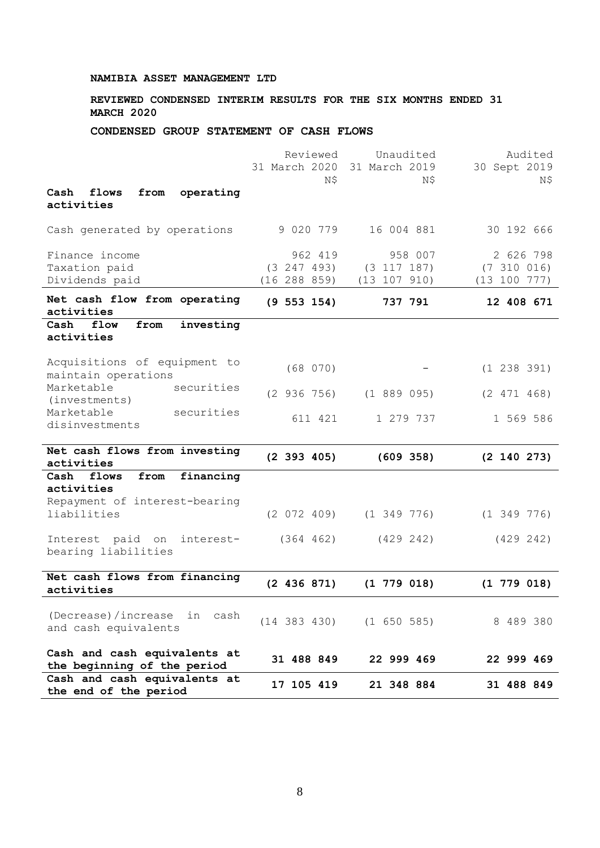# **REVIEWED CONDENSED INTERIM RESULTS FOR THE SIX MONTHS ENDED 31 MARCH 2020**

## **CONDENSED GROUP STATEMENT OF CASH FLOWS**

|                                                             | Reviewed<br>31 March 2020 | Unaudited<br>31 March 2019           | Audited<br>30 Sept 2019 |
|-------------------------------------------------------------|---------------------------|--------------------------------------|-------------------------|
|                                                             | Ν\$                       | Ν\$                                  | N\$                     |
| Cash<br>flows<br>from<br>operating<br>activities            |                           |                                      |                         |
| Cash generated by operations                                | 9 020 779                 | 16 004 881                           | 30 192 666              |
| Finance income                                              | 962 419                   | 958 007                              | 2 626 798               |
| Taxation paid                                               | (3 247 493)               | $(3\ 117\ 187)$                      | (7 310 016)             |
| Dividends paid                                              | (16 288 859)              | (13 107 910)                         | (13 100 777)            |
| Net cash flow from operating<br>activities                  | $(9\ 553\ 154)$           | 737 791                              | 12 408 671              |
| Cash<br>flow<br>investing<br>from                           |                           |                                      |                         |
| activities                                                  |                           |                                      |                         |
| Acquisitions of equipment to<br>maintain operations         | (68 070)                  |                                      | (1 238 391)             |
| Marketable<br>securities                                    | (2936756)                 | (1889095)                            | (2 471 468)             |
| (investments)                                               |                           |                                      |                         |
| Marketable<br>securities<br>disinvestments                  | 611 421                   | 1 279 737                            | 1 569 586               |
|                                                             |                           |                                      |                         |
| Net cash flows from investing<br>activities                 | $(2\;393\;405)$           | (609 358)                            | $(2\;140\;273)$         |
| financing<br>flows<br>from<br>Cash                          |                           |                                      |                         |
| activities                                                  |                           |                                      |                         |
| Repayment of interest-bearing<br>liabilities                | (2 072 409)               | $(1\;349\;776)$                      | $(1\;349\;776)$         |
| Interest paid on<br>interest-                               | (364 462)                 | (429 242)                            | (429 242)               |
| bearing liabilities                                         |                           |                                      |                         |
| Net cash flows from financing                               | (2 436 871)               | $(1\ 779\ 018)$                      | $(1\ 779\ 018)$         |
| activities                                                  |                           |                                      |                         |
| (Decrease)/increase<br>in<br>cash<br>and cash equivalents   |                           | $(14 \t383 \t430)$ $(1 \t650 \t585)$ | 8 489 380               |
| Cash and cash equivalents at<br>the beginning of the period | 31 488 849                | 22 999 469                           | 22 999 469              |
| Cash and cash equivalents at<br>the end of the period       | 17 105 419                | 21 348 884                           | 31 488 849              |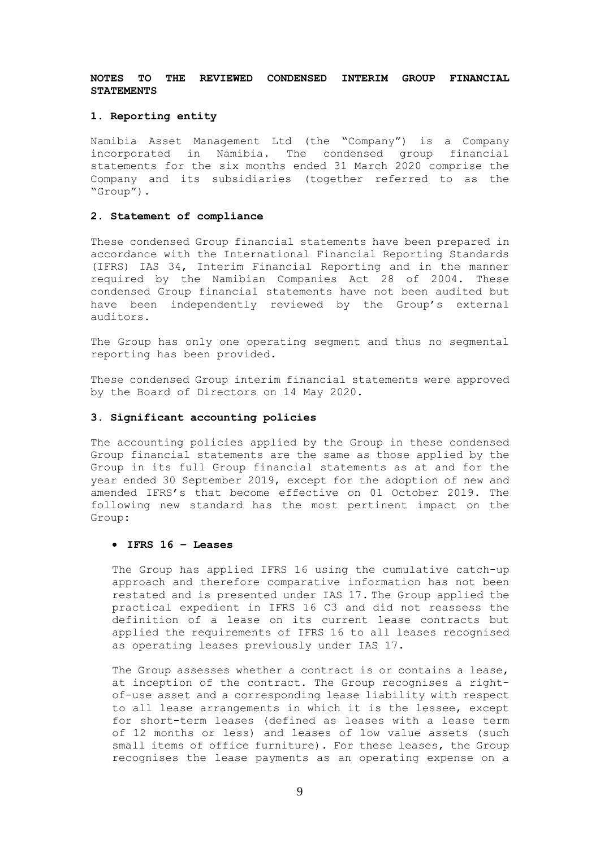## **NOTES TO THE REVIEWED CONDENSED INTERIM GROUP FINANCIAL STATEMENTS**

### **1. Reporting entity**

Namibia Asset Management Ltd (the "Company") is a Company incorporated in Namibia. The condensed group financial statements for the six months ended 31 March 2020 comprise the Company and its subsidiaries (together referred to as the "Group").

### **2. Statement of compliance**

These condensed Group financial statements have been prepared in accordance with the International Financial Reporting Standards (IFRS) IAS 34, Interim Financial Reporting and in the manner required by the Namibian Companies Act 28 of 2004. These condensed Group financial statements have not been audited but have been independently reviewed by the Group's external auditors.

The Group has only one operating segment and thus no segmental reporting has been provided.

These condensed Group interim financial statements were approved by the Board of Directors on 14 May 2020.

### **3. Significant accounting policies**

The accounting policies applied by the Group in these condensed Group financial statements are the same as those applied by the Group in its full Group financial statements as at and for the year ended 30 September 2019, except for the adoption of new and amended IFRS's that become effective on 01 October 2019. The following new standard has the most pertinent impact on the Group:

## • **IFRS 16 – Leases**

The Group has applied IFRS 16 using the cumulative catch-up approach and therefore comparative information has not been restated and is presented under IAS 17. The Group applied the practical expedient in IFRS 16 C3 and did not reassess the definition of a lease on its current lease contracts but applied the requirements of IFRS 16 to all leases recognised as operating leases previously under IAS 17.

The Group assesses whether a contract is or contains a lease, at inception of the contract. The Group recognises a rightof-use asset and a corresponding lease liability with respect to all lease arrangements in which it is the lessee, except for short-term leases (defined as leases with a lease term of 12 months or less) and leases of low value assets (such small items of office furniture). For these leases, the Group recognises the lease payments as an operating expense on a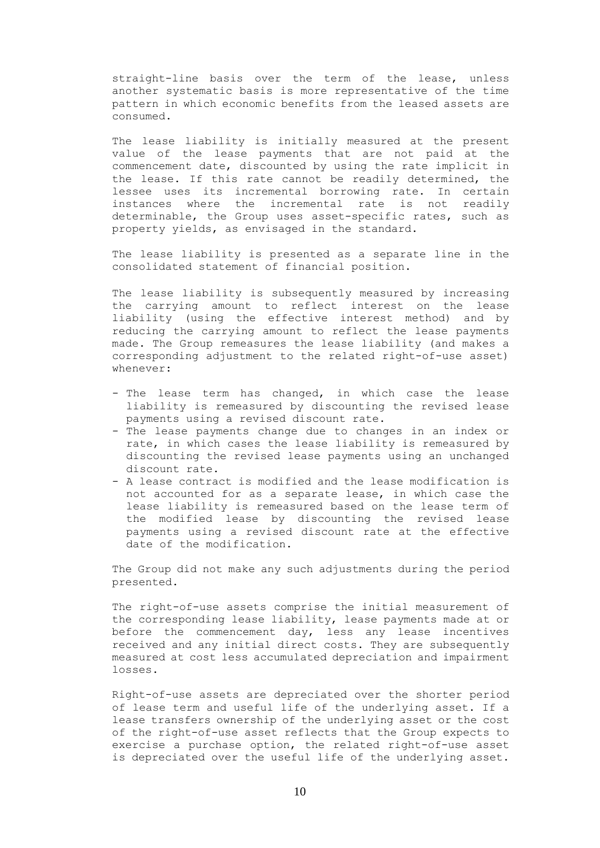straight-line basis over the term of the lease, unless another systematic basis is more representative of the time pattern in which economic benefits from the leased assets are consumed.

The lease liability is initially measured at the present value of the lease payments that are not paid at the commencement date, discounted by using the rate implicit in the lease. If this rate cannot be readily determined, the lessee uses its incremental borrowing rate. In certain instances where the incremental rate is not readily determinable, the Group uses asset-specific rates, such as property yields, as envisaged in the standard.

The lease liability is presented as a separate line in the consolidated statement of financial position.

The lease liability is subsequently measured by increasing the carrying amount to reflect interest on the lease liability (using the effective interest method) and by reducing the carrying amount to reflect the lease payments made. The Group remeasures the lease liability (and makes a corresponding adjustment to the related right-of-use asset) whenever:

- The lease term has changed, in which case the lease liability is remeasured by discounting the revised lease payments using a revised discount rate.
- The lease payments change due to changes in an index or rate, in which cases the lease liability is remeasured by discounting the revised lease payments using an unchanged discount rate.
- A lease contract is modified and the lease modification is not accounted for as a separate lease, in which case the lease liability is remeasured based on the lease term of the modified lease by discounting the revised lease payments using a revised discount rate at the effective date of the modification.

The Group did not make any such adjustments during the period presented.

The right-of-use assets comprise the initial measurement of the corresponding lease liability, lease payments made at or before the commencement day, less any lease incentives received and any initial direct costs. They are subsequently measured at cost less accumulated depreciation and impairment losses.

Right-of-use assets are depreciated over the shorter period of lease term and useful life of the underlying asset. If a lease transfers ownership of the underlying asset or the cost of the right-of-use asset reflects that the Group expects to exercise a purchase option, the related right-of-use asset is depreciated over the useful life of the underlying asset.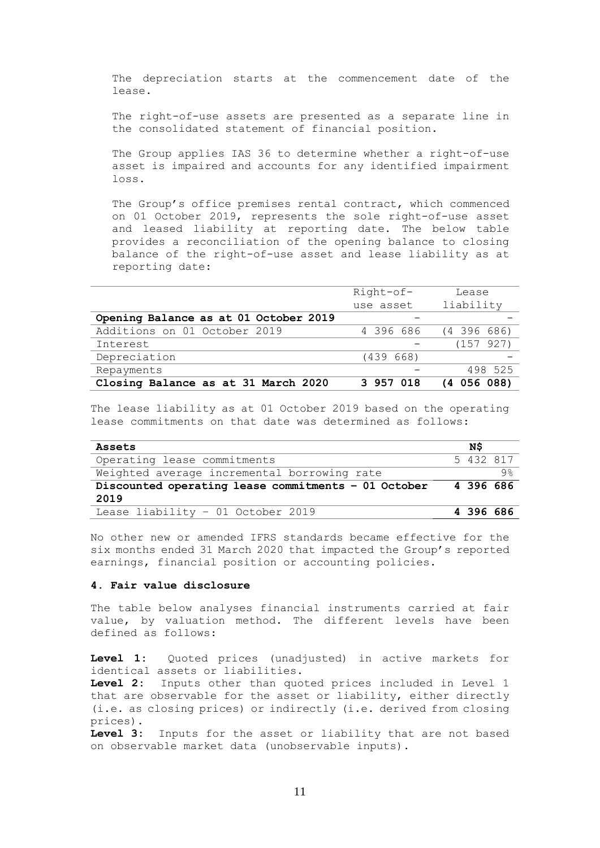The depreciation starts at the commencement date of the lease.

The right-of-use assets are presented as a separate line in the consolidated statement of financial position.

The Group applies IAS 36 to determine whether a right-of-use asset is impaired and accounts for any identified impairment loss.

The Group's office premises rental contract, which commenced on 01 October 2019, represents the sole right-of-use asset and leased liability at reporting date. The below table provides a reconciliation of the opening balance to closing balance of the right-of-use asset and lease liability as at reporting date:

|                                       | Right-of- | Lease           |
|---------------------------------------|-----------|-----------------|
|                                       | use asset | liability       |
| Opening Balance as at 01 October 2019 |           |                 |
| Additions on 01 October 2019          | 4 396 686 | $(4\;396\;686)$ |
| Interest                              |           | (157927)        |
| Depreciation                          | (439 668) |                 |
| Repayments                            |           | 498 525         |
| Closing Balance as at 31 March 2020   | 3 957 018 | $(4\ 056\ 088)$ |

The lease liability as at 01 October 2019 based on the operating lease commitments on that date was determined as follows:

|  | 5 432 817            |
|--|----------------------|
|  | 9%                   |
|  |                      |
|  |                      |
|  |                      |
|  | 4396686<br>4 396 686 |

No other new or amended IFRS standards became effective for the six months ended 31 March 2020 that impacted the Group's reported earnings, financial position or accounting policies.

### **4. Fair value disclosure**

The table below analyses financial instruments carried at fair value, by valuation method. The different levels have been defined as follows:

**Level 1:** Quoted prices (unadjusted) in active markets for identical assets or liabilities.

**Level 2:** Inputs other than quoted prices included in Level 1 that are observable for the asset or liability, either directly (i.e. as closing prices) or indirectly (i.e. derived from closing prices).

**Level 3:** Inputs for the asset or liability that are not based on observable market data (unobservable inputs).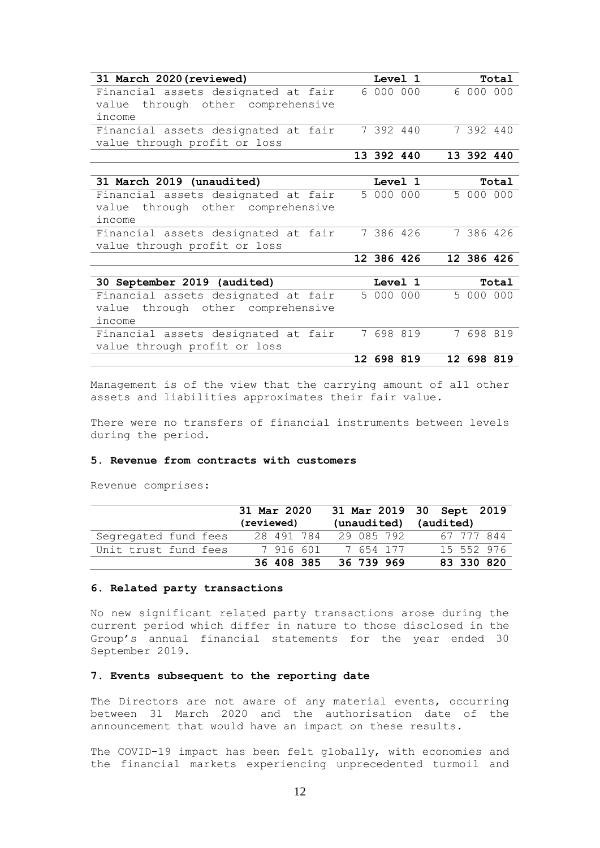| 31 March 2020 (reviewed)             | Level 1    |           |            | Total |
|--------------------------------------|------------|-----------|------------|-------|
| Financial assets designated at fair  |            | 6 000 000 | 6 000 000  |       |
| through other comprehensive<br>value |            |           |            |       |
| income                               |            |           |            |       |
| Financial assets designated at fair  |            | 7 392 440 | 7 392 440  |       |
| value through profit or loss         |            |           |            |       |
|                                      | 13 392 440 |           | 13 392 440 |       |
|                                      |            |           |            |       |
| 31 March 2019 (unaudited)            | Level 1    |           |            | Total |
| Financial assets designated at fair  |            | 5 000 000 | 5 000 000  |       |
| through other comprehensive<br>value |            |           |            |       |
| income                               |            |           |            |       |
| Financial assets designated at fair  |            | 7 386 426 | 7 386 426  |       |
| value through profit or loss         |            |           |            |       |
|                                      | 12 386 426 |           | 12 386 426 |       |
|                                      |            |           |            |       |
| 30 September 2019 (audited)          |            | Level 1   |            | Total |
| Financial assets designated at fair  |            | 5 000 000 | 5 000 000  |       |
| through other comprehensive<br>value |            |           |            |       |
| income                               |            |           |            |       |
| Financial assets designated at fair  | 7 698 819  |           | 7 698 819  |       |
| value through profit or loss         |            |           |            |       |
|                                      | 12 698 819 |           | 12 698 819 |       |

Management is of the view that the carrying amount of all other assets and liabilities approximates their fair value.

There were no transfers of financial instruments between levels during the period.

#### **5. Revenue from contracts with customers**

Revenue comprises:

|                      | 31 Mar 2020 |                       | 31 Mar 2019 30 Sept 2019 |
|----------------------|-------------|-----------------------|--------------------------|
|                      | (reviewed)  | (unaudited) (audited) |                          |
| Segregated fund fees | 28 491 784  | 29 085 792            | 67 777 844               |
| Unit trust fund fees | 7916601     | 7 654 177             | 15 552 976               |
|                      | 36 408 385  | 36 739 969            | 83 330 820               |

### **6. Related party transactions**

No new significant related party transactions arose during the current period which differ in nature to those disclosed in the Group's annual financial statements for the year ended 30 September 2019.

## **7. Events subsequent to the reporting date**

The Directors are not aware of any material events, occurring between 31 March 2020 and the authorisation date of the announcement that would have an impact on these results.

The COVID-19 impact has been felt globally, with economies and the financial markets experiencing unprecedented turmoil and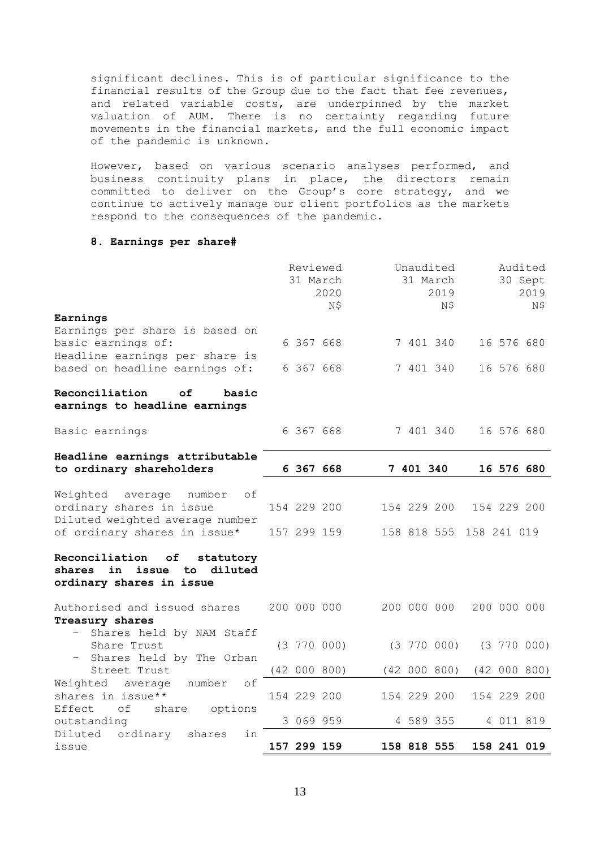significant declines. This is of particular significance to the financial results of the Group due to the fact that fee revenues, and related variable costs, are underpinned by the market valuation of AUM. There is no certainty regarding future movements in the financial markets, and the full economic impact of the pandemic is unknown.

However, based on various scenario analyses performed, and business continuity plans in place, the directors remain committed to deliver on the Group's core strategy, and we continue to actively manage our client portfolios as the markets respond to the consequences of the pandemic.

## **8. Earnings per share#**

|                                                                                                   |  | Reviewed    | 31 March<br>2020<br>Ν\$ | Unaudited<br>31 March<br>2019<br>N\$ |             |              | Audited<br>30 Sept      |             | 2019<br>N\$     |
|---------------------------------------------------------------------------------------------------|--|-------------|-------------------------|--------------------------------------|-------------|--------------|-------------------------|-------------|-----------------|
| Earnings                                                                                          |  |             |                         |                                      |             |              |                         |             |                 |
| Earnings per share is based on                                                                    |  |             |                         |                                      |             |              |                         |             |                 |
| basic earnings of:                                                                                |  | 6 367 668   |                         |                                      |             | 7 401 340    |                         | 16 576 680  |                 |
| Headline earnings per share is                                                                    |  |             |                         |                                      |             |              |                         |             |                 |
| based on headline earnings of:                                                                    |  | 6 367 668   |                         |                                      | 7 401 340   |              |                         | 16 576 680  |                 |
| Reconciliation<br>οf<br>basic<br>earnings to headline earnings                                    |  |             |                         |                                      |             |              |                         |             |                 |
| Basic earnings                                                                                    |  | 6 367 668   |                         |                                      |             | 7 401 340    |                         | 16 576 680  |                 |
| Headline earnings attributable<br>to ordinary shareholders                                        |  | 6 367 668   |                         |                                      | 7 401 340   |              |                         | 16 576 680  |                 |
|                                                                                                   |  |             |                         |                                      |             |              |                         |             |                 |
| Weighted average<br>number<br>оf                                                                  |  |             |                         |                                      |             |              |                         |             |                 |
| ordinary shares in issue                                                                          |  | 154 229 200 |                         |                                      |             | 154 229 200  |                         | 154 229 200 |                 |
| Diluted weighted average number<br>of ordinary shares in issue*                                   |  |             | 157 299 159             |                                      |             |              | 158 818 555 158 241 019 |             |                 |
|                                                                                                   |  |             |                         |                                      |             |              |                         |             |                 |
| Reconciliation<br>of<br>statutory<br>shares in issue<br>diluted<br>to<br>ordinary shares in issue |  |             |                         |                                      |             |              |                         |             |                 |
| Authorised and issued shares                                                                      |  | 200 000 000 |                         |                                      |             | 200 000 000  |                         | 200 000 000 |                 |
| Treasury shares                                                                                   |  |             |                         |                                      |             |              |                         |             |                 |
| Shares held by NAM Staff<br>$-$                                                                   |  |             |                         |                                      |             |              |                         |             |                 |
| Share Trust                                                                                       |  |             | $(3\ 770\ 000)$         |                                      |             | (3770 000)   |                         |             | $(3\ 770\ 000)$ |
| - Shares held by The Orban                                                                        |  |             |                         |                                      |             |              |                         |             |                 |
| Street Trust                                                                                      |  |             | (42 000 800)            |                                      |             | (42 000 800) |                         |             | (42 000 800)    |
| Weighted average number<br>of                                                                     |  |             |                         |                                      |             |              |                         |             |                 |
| shares in issue**                                                                                 |  | 154 229 200 |                         |                                      |             | 154 229 200  |                         | 154 229 200 |                 |
| Effect<br>оf<br>share options                                                                     |  |             |                         |                                      |             |              |                         |             |                 |
| outstanding                                                                                       |  | 3 069 959   |                         |                                      | 4 589 355   |              |                         | 4 011 819   |                 |
| Diluted ordinary<br>shares<br>in                                                                  |  |             |                         |                                      |             |              |                         |             |                 |
| issue                                                                                             |  | 157 299 159 |                         |                                      | 158 818 555 |              |                         | 158 241 019 |                 |